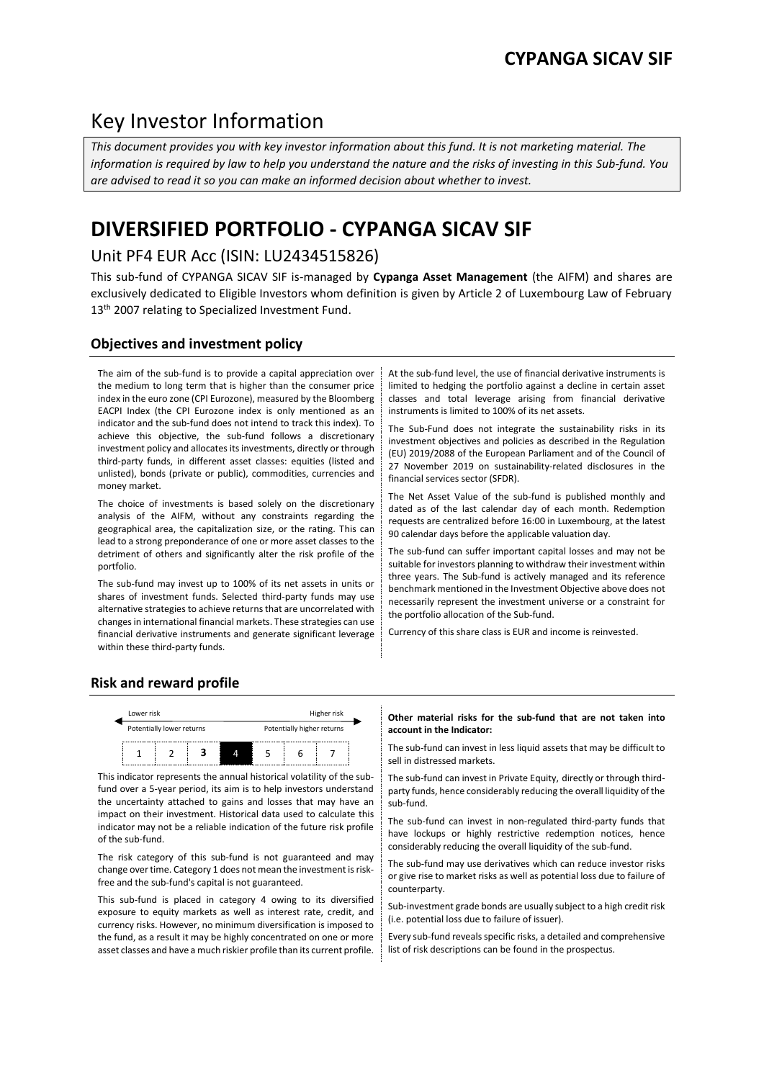# Key Investor Information

*This document provides you with key investor information about this fund. It is not marketing material. The information is required by law to help you understand the nature and the risks of investing in this Sub-fund. You are advised to read it so you can make an informed decision about whether to invest.*

# **DIVERSIFIED PORTFOLIO - CYPANGA SICAV SIF**

## Unit PF4 EUR Acc (ISIN: LU2434515826)

This sub-fund of CYPANGA SICAV SIF is-managed by **Cypanga Asset Management** (the AIFM) and shares are exclusively dedicated to Eligible Investors whom definition is given by Article 2 of Luxembourg Law of February 13<sup>th</sup> 2007 relating to Specialized Investment Fund.

## **Objectives and investment policy**

The aim of the sub-fund is to provide a capital appreciation over the medium to long term that is higher than the consumer price index in the euro zone (CPI Eurozone), measured by the Bloomberg EACPI Index (the CPI Eurozone index is only mentioned as an indicator and the sub-fund does not intend to track this index). To achieve this objective, the sub-fund follows a discretionary investment policy and allocates its investments, directly or through third-party funds, in different asset classes: equities (listed and unlisted), bonds (private or public), commodities, currencies and money market.

The choice of investments is based solely on the discretionary analysis of the AIFM, without any constraints regarding the geographical area, the capitalization size, or the rating. This can lead to a strong preponderance of one or more asset classes to the detriment of others and significantly alter the risk profile of the portfolio.

The sub-fund may invest up to 100% of its net assets in units or shares of investment funds. Selected third-party funds may use alternative strategies to achieve returns that are uncorrelated with changes in international financial markets. These strategies can use financial derivative instruments and generate significant leverage within these third-party funds.

At the sub-fund level, the use of financial derivative instruments is limited to hedging the portfolio against a decline in certain asset classes and total leverage arising from financial derivative instruments is limited to 100% of its net assets.

The Sub-Fund does not integrate the sustainability risks in its investment objectives and policies as described in the Regulation (EU) 2019/2088 of the European Parliament and of the Council of 27 November 2019 on sustainability-related disclosures in the financial services sector (SFDR).

The Net Asset Value of the sub-fund is published monthly and dated as of the last calendar day of each month. Redemption requests are centralized before 16:00 in Luxembourg, at the latest 90 calendar days before the applicable valuation day.

The sub-fund can suffer important capital losses and may not be suitable for investors planning to withdraw their investment within three years. The Sub-fund is actively managed and its reference benchmark mentioned in the Investment Objective above does not necessarily represent the investment universe or a constraint for the portfolio allocation of the Sub-fund.

Currency of this share class is EUR and income is reinvested.

## **Risk and reward profile**



This indicator represents the annual historical volatility of the subfund over a 5-year period, its aim is to help investors understand the uncertainty attached to gains and losses that may have an impact on their investment. Historical data used to calculate this indicator may not be a reliable indication of the future risk profile of the sub-fund.

The risk category of this sub-fund is not guaranteed and may change over time. Category 1 does not mean the investment is riskfree and the sub-fund's capital is not guaranteed.

This sub-fund is placed in category 4 owing to its diversified exposure to equity markets as well as interest rate, credit, and currency risks. However, no minimum diversification is imposed to the fund, as a result it may be highly concentrated on one or more asset classes and have a much riskier profile than its current profile.

#### **Other material risks for the sub-fund that are not taken into account in the Indicator:**

The sub-fund can invest in less liquid assets that may be difficult to sell in distressed markets.

The sub-fund can invest in Private Equity, directly or through thirdparty funds, hence considerably reducing the overall liquidity of the sub-fund.

The sub-fund can invest in non-regulated third-party funds that have lockups or highly restrictive redemption notices, hence considerably reducing the overall liquidity of the sub-fund.

The sub-fund may use derivatives which can reduce investor risks or give rise to market risks as well as potential loss due to failure of counterparty.

Sub-investment grade bonds are usually subject to a high credit risk (i.e. potential loss due to failure of issuer).

Every sub-fund reveals specific risks, a detailed and comprehensive list of risk descriptions can be found in the prospectus.